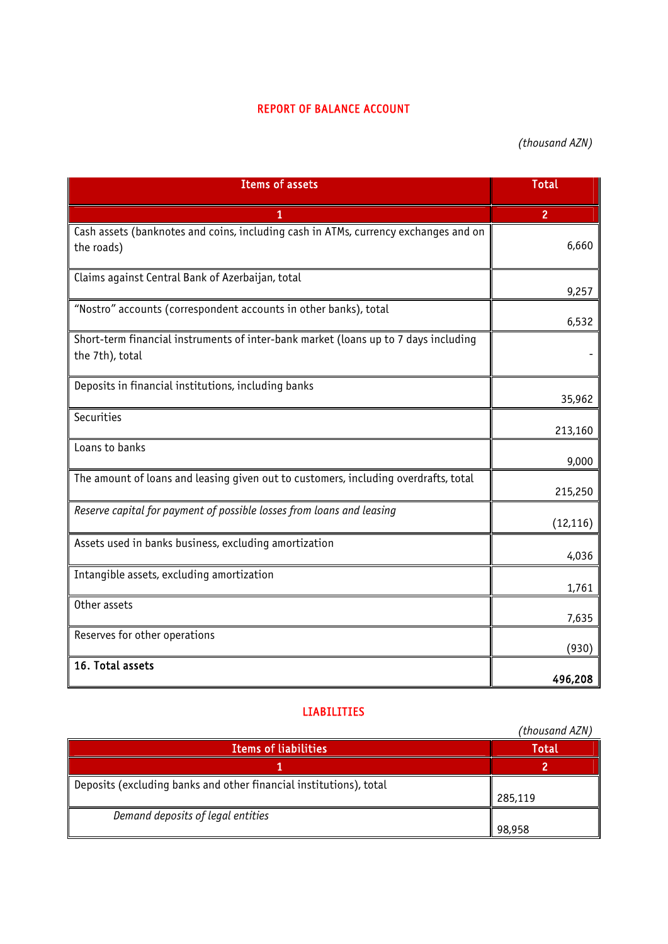## REPORT OF BALANCE ACCOUNT

*(thousand AZN)*

| <b>Items of assets</b>                                                              | <b>Total</b>   |
|-------------------------------------------------------------------------------------|----------------|
|                                                                                     | $\overline{2}$ |
| Cash assets (banknotes and coins, including cash in ATMs, currency exchanges and on |                |
| the roads)                                                                          | 6,660          |
| Claims against Central Bank of Azerbaijan, total                                    | 9,257          |
| "Nostro" accounts (correspondent accounts in other banks), total                    |                |
|                                                                                     | 6,532          |
| Short-term financial instruments of inter-bank market (loans up to 7 days including |                |
| the 7th), total                                                                     |                |
| Deposits in financial institutions, including banks                                 |                |
|                                                                                     | 35,962         |
| Securities                                                                          | 213,160        |
| Loans to banks                                                                      |                |
|                                                                                     | 9,000          |
| The amount of loans and leasing given out to customers, including overdrafts, total | 215,250        |
| Reserve capital for payment of possible losses from loans and leasing               |                |
|                                                                                     | (12, 116)      |
| Assets used in banks business, excluding amortization                               | 4,036          |
| Intangible assets, excluding amortization                                           |                |
|                                                                                     | 1,761          |
| Other assets                                                                        | 7,635          |
| Reserves for other operations                                                       |                |
| 16. Total assets                                                                    | (930)          |
|                                                                                     | 496,208        |

## LIABILITIES

|                                                                    | (thousand AZN) |
|--------------------------------------------------------------------|----------------|
| <b>Items of liabilities</b>                                        | <b>Total</b>   |
|                                                                    |                |
| Deposits (excluding banks and other financial institutions), total |                |
|                                                                    | 285,119        |
| Demand deposits of legal entities                                  |                |
|                                                                    | 98,958         |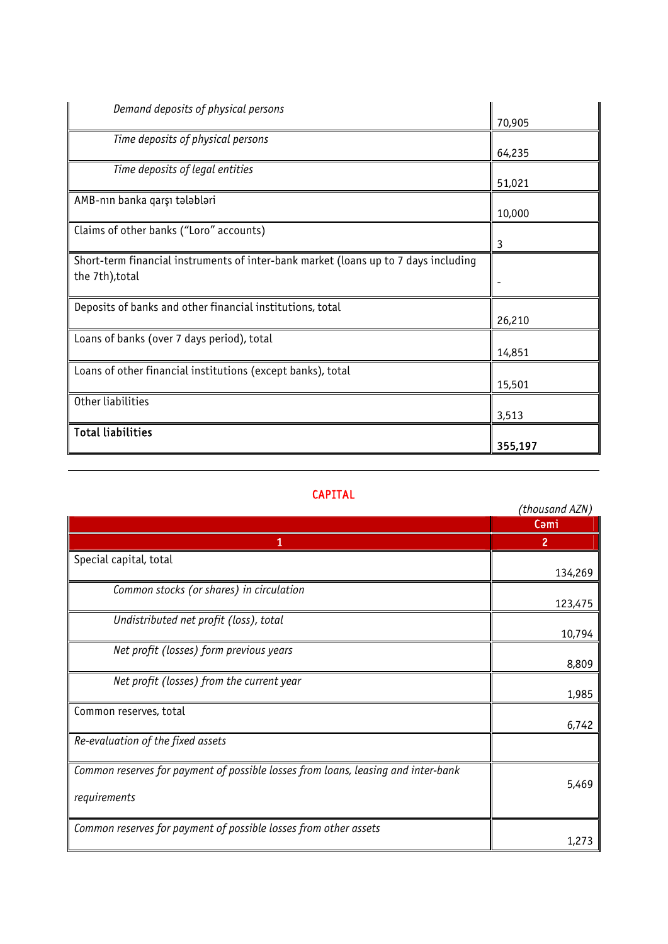| Demand deposits of physical persons                                                 |         |
|-------------------------------------------------------------------------------------|---------|
|                                                                                     | 70,905  |
| Time deposits of physical persons                                                   |         |
|                                                                                     | 64,235  |
| Time deposits of legal entities                                                     |         |
|                                                                                     | 51,021  |
| AMB-nın banka qarşı tələbləri                                                       |         |
|                                                                                     | 10,000  |
| Claims of other banks ("Loro" accounts)                                             |         |
|                                                                                     | 3       |
| Short-term financial instruments of inter-bank market (loans up to 7 days including |         |
| the 7th), total                                                                     | -       |
|                                                                                     |         |
| Deposits of banks and other financial institutions, total                           |         |
|                                                                                     | 26,210  |
| Loans of banks (over 7 days period), total                                          |         |
|                                                                                     | 14,851  |
| Loans of other financial institutions (except banks), total                         |         |
|                                                                                     | 15,501  |
| Other liabilities                                                                   |         |
|                                                                                     | 3,513   |
| <b>Total liabilities</b>                                                            |         |
|                                                                                     | 355,197 |

## CAPITAL

|                                                                                                   | (thousand AZN) |
|---------------------------------------------------------------------------------------------------|----------------|
|                                                                                                   | Cami           |
| 1                                                                                                 | $\overline{2}$ |
| Special capital, total                                                                            | 134,269        |
| Common stocks (or shares) in circulation                                                          | 123,475        |
| Undistributed net profit (loss), total                                                            | 10,794         |
| Net profit (losses) form previous years                                                           | 8,809          |
| Net profit (losses) from the current year                                                         | 1,985          |
| Common reserves, total                                                                            | 6,742          |
| Re-evaluation of the fixed assets                                                                 |                |
| Common reserves for payment of possible losses from loans, leasing and inter-bank<br>requirements | 5,469          |
| Common reserves for payment of possible losses from other assets                                  | 1,273          |